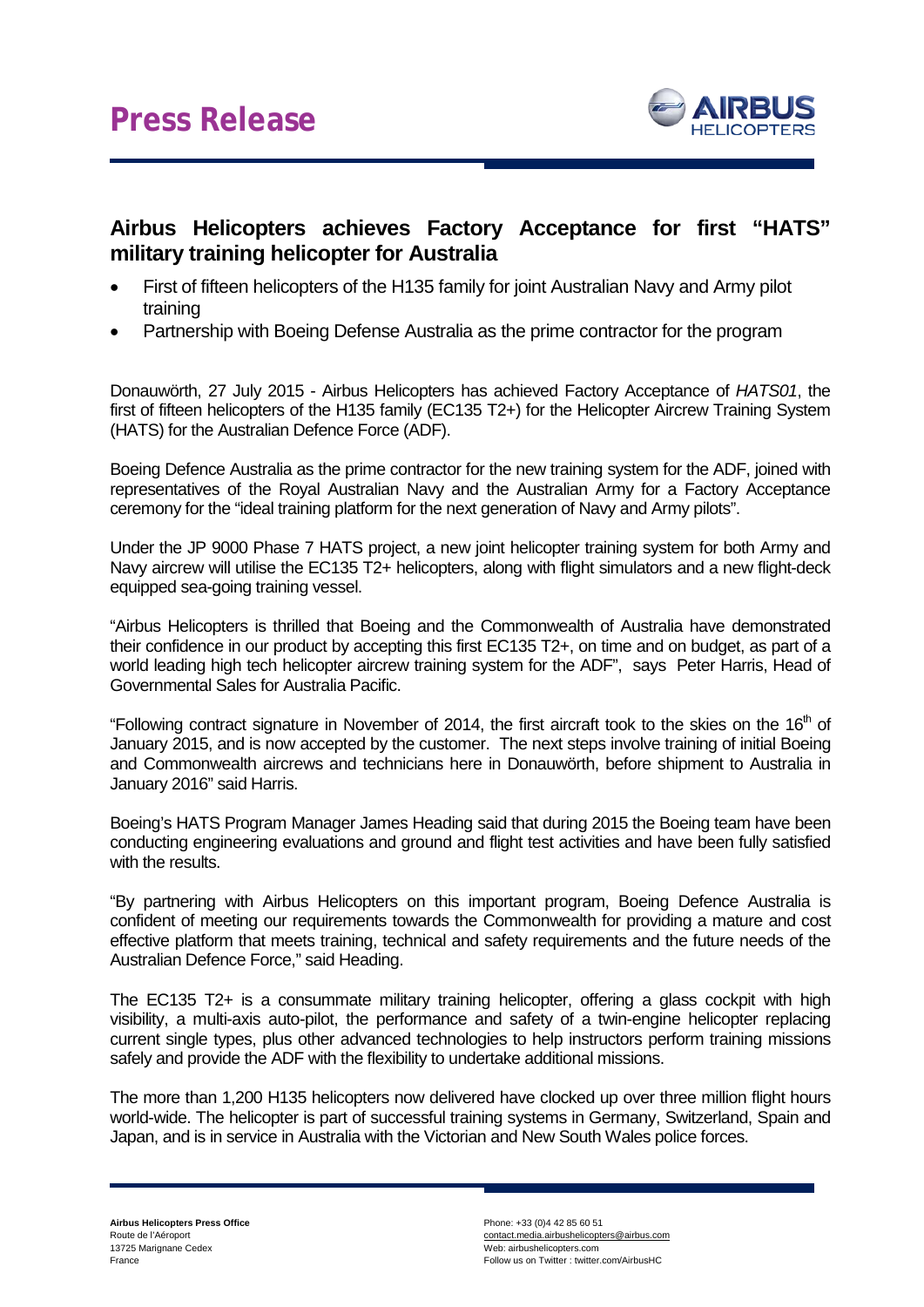

## **Airbus Helicopters achieves Factory Acceptance for first "HATS" military training helicopter for Australia**

- First of fifteen helicopters of the H135 family for joint Australian Navy and Army pilot training
- Partnership with Boeing Defense Australia as the prime contractor for the program

Donauwörth, 27 July 2015 - Airbus Helicopters has achieved Factory Acceptance of *HATS01*, the first of fifteen helicopters of the H135 family (EC135 T2+) for the Helicopter Aircrew Training System (HATS) for the Australian Defence Force (ADF).

Boeing Defence Australia as the prime contractor for the new training system for the ADF, joined with representatives of the Royal Australian Navy and the Australian Army for a Factory Acceptance ceremony for the "ideal training platform for the next generation of Navy and Army pilots".

Under the JP 9000 Phase 7 HATS project, a new joint helicopter training system for both Army and Navy aircrew will utilise the EC135 T2+ helicopters, along with flight simulators and a new flight-deck equipped sea-going training vessel.

"Airbus Helicopters is thrilled that Boeing and the Commonwealth of Australia have demonstrated their confidence in our product by accepting this first EC135 T2+, on time and on budget, as part of a world leading high tech helicopter aircrew training system for the ADF", says Peter Harris, Head of Governmental Sales for Australia Pacific.

"Following contract signature in November of 2014, the first aircraft took to the skies on the 16<sup>th</sup> of January 2015, and is now accepted by the customer. The next steps involve training of initial Boeing and Commonwealth aircrews and technicians here in Donauwörth, before shipment to Australia in January 2016" said Harris.

Boeing's HATS Program Manager James Heading said that during 2015 the Boeing team have been conducting engineering evaluations and ground and flight test activities and have been fully satisfied with the results.

"By partnering with Airbus Helicopters on this important program, Boeing Defence Australia is confident of meeting our requirements towards the Commonwealth for providing a mature and cost effective platform that meets training, technical and safety requirements and the future needs of the Australian Defence Force," said Heading.

The EC135 T2+ is a consummate military training helicopter, offering a glass cockpit with high visibility, a multi-axis auto-pilot, the performance and safety of a twin-engine helicopter replacing current single types, plus other advanced technologies to help instructors perform training missions safely and provide the ADF with the flexibility to undertake additional missions.

The more than 1,200 H135 helicopters now delivered have clocked up over three million flight hours world-wide. The helicopter is part of successful training systems in Germany, Switzerland, Spain and Japan, and is in service in Australia with the Victorian and New South Wales police forces.